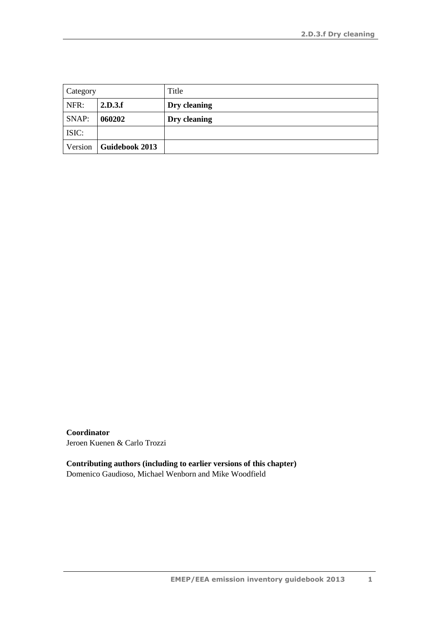| Category |                       | Title        |
|----------|-----------------------|--------------|
| NFR:     | 2.D.3.f               | Dry cleaning |
| SNAP:    | 060202                | Dry cleaning |
| ISIC:    |                       |              |
| Version  | <b>Guidebook 2013</b> |              |

**Coordinator** Jeroen Kuenen & Carlo Trozzi

**Contributing authors (including to earlier versions of this chapter)** Domenico Gaudioso, Michael Wenborn and Mike Woodfield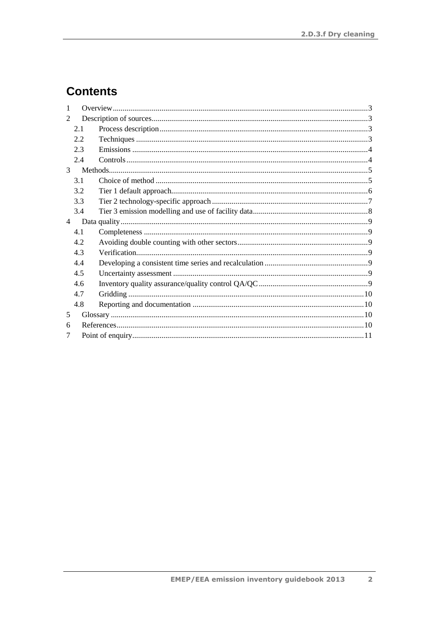# **Contents**

| 2.1 |  |  |  |  |
|-----|--|--|--|--|
| 2.2 |  |  |  |  |
| 2.3 |  |  |  |  |
| 2.4 |  |  |  |  |
|     |  |  |  |  |
| 3.1 |  |  |  |  |
| 3.2 |  |  |  |  |
| 3.3 |  |  |  |  |
| 3.4 |  |  |  |  |
|     |  |  |  |  |
| 4.1 |  |  |  |  |
| 4.2 |  |  |  |  |
| 4.3 |  |  |  |  |
| 4.4 |  |  |  |  |
| 4.5 |  |  |  |  |
| 4.6 |  |  |  |  |
| 4.7 |  |  |  |  |
| 4.8 |  |  |  |  |
|     |  |  |  |  |
| 6   |  |  |  |  |
|     |  |  |  |  |
|     |  |  |  |  |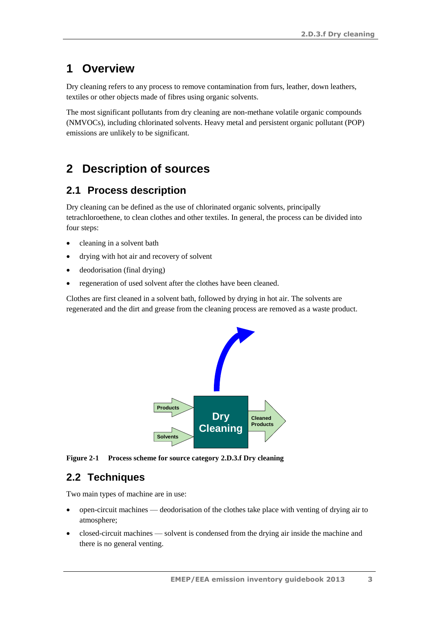## <span id="page-2-0"></span>**1 Overview**

Dry cleaning refers to any process to remove contamination from furs, leather, down leathers, textiles or other objects made of fibres using organic solvents.

The most significant pollutants from dry cleaning are non-methane volatile organic compounds (NMVOCs), including chlorinated solvents. Heavy metal and persistent organic pollutant (POP) emissions are unlikely to be significant.

# <span id="page-2-1"></span>**2 Description of sources**

#### <span id="page-2-2"></span>**2.1 Process description**

Dry cleaning can be defined as the use of chlorinated organic solvents, principally tetrachloroethene, to clean clothes and other textiles. In general, the process can be divided into four steps:

- cleaning in a solvent bath
- drying with hot air and recovery of solvent
- deodorisation (final drying)
- regeneration of used solvent after the clothes have been cleaned.

Clothes are first cleaned in a solvent bath, followed by drying in hot air. The solvents are regenerated and the dirt and grease from the cleaning process are removed as a waste product.



**Figure 2-1 Process scheme for source category 2.D.3.f Dry cleaning**

### <span id="page-2-3"></span>**2.2 Techniques**

Two main types of machine are in use:

- open-circuit machines deodorisation of the clothes take place with venting of drying air to atmosphere;
- closed-circuit machines solvent is condensed from the drying air inside the machine and there is no general venting.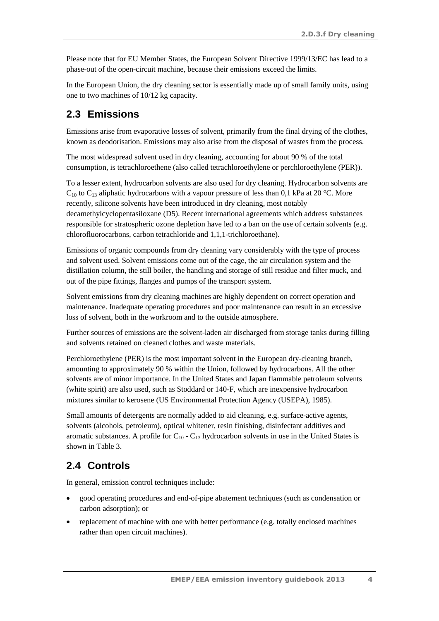Please note that for EU Member States, the European Solvent Directive 1999/13/EC has lead to a phase-out of the open-circuit machine, because their emissions exceed the limits.

In the European Union, the dry cleaning sector is essentially made up of small family units, using one to two machines of 10/12 kg capacity.

### <span id="page-3-0"></span>**2.3 Emissions**

Emissions arise from evaporative losses of solvent, primarily from the final drying of the clothes, known as deodorisation. Emissions may also arise from the disposal of wastes from the process.

The most widespread solvent used in dry cleaning, accounting for about 90 % of the total consumption, is tetrachloroethene (also called tetrachloroethylene or perchloroethylene (PER)).

To a lesser extent, hydrocarbon solvents are also used for dry cleaning. Hydrocarbon solvents are  $C_{10}$  to  $C_{13}$  aliphatic hydrocarbons with a vapour pressure of less than 0,1 kPa at 20 °C. More recently, silicone solvents have been introduced in dry cleaning, most notably decamethylcyclopentasiloxane (D5). Recent international agreements which address substances responsible for stratospheric ozone depletion have led to a ban on the use of certain solvents (e.g. chlorofluorocarbons, carbon tetrachloride and 1,1,1-trichloroethane).

Emissions of organic compounds from dry cleaning vary considerably with the type of process and solvent used. Solvent emissions come out of the cage, the air circulation system and the distillation column, the still boiler, the handling and storage of still residue and filter muck, and out of the pipe fittings, flanges and pumps of the transport system.

Solvent emissions from dry cleaning machines are highly dependent on correct operation and maintenance. Inadequate operating procedures and poor maintenance can result in an excessive loss of solvent, both in the workroom and to the outside atmosphere.

Further sources of emissions are the solvent-laden air discharged from storage tanks during filling and solvents retained on cleaned clothes and waste materials.

Perchloroethylene (PER) is the most important solvent in the European dry-cleaning branch, amounting to approximately 90 % within the Union, followed by hydrocarbons. All the other solvents are of minor importance. In the United States and Japan flammable petroleum solvents (white spirit) are also used, such as Stoddard or 140-F, which are inexpensive hydrocarbon mixtures similar to kerosene (US Environmental Protection Agency (USEPA), 1985).

Small amounts of detergents are normally added to aid cleaning, e.g. surface-active agents, solvents (alcohols, petroleum), optical whitener, resin finishing, disinfectant additives and aromatic substances. A profile for  $C_{10}$  -  $C_{13}$  hydrocarbon solvents in use in the United States is shown in Table 3.

## <span id="page-3-1"></span>**2.4 Controls**

In general, emission control techniques include:

- good operating procedures and end-of-pipe abatement techniques (such as condensation or carbon adsorption); or
- replacement of machine with one with better performance (e.g. totally enclosed machines rather than open circuit machines).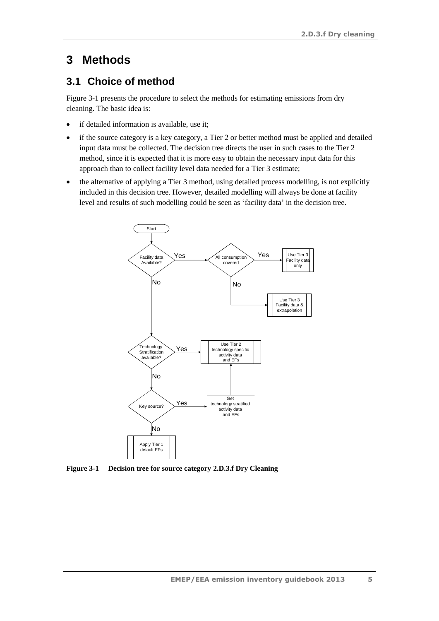## <span id="page-4-0"></span>**3 Methods**

### <span id="page-4-1"></span>**3.1 Choice of method**

[Figure 3-1](#page-4-2) presents the procedure to select the methods for estimating emissions from dry cleaning. The basic idea is:

- if detailed information is available, use it;
- if the source category is a key category, a Tier 2 or better method must be applied and detailed input data must be collected. The decision tree directs the user in such cases to the Tier 2 method, since it is expected that it is more easy to obtain the necessary input data for this approach than to collect facility level data needed for a Tier 3 estimate;
- the alternative of applying a Tier 3 method, using detailed process modelling, is not explicitly included in this decision tree. However, detailed modelling will always be done at facility level and results of such modelling could be seen as 'facility data' in the decision tree.



<span id="page-4-2"></span>**Figure 3-1 Decision tree for source category 2.D.3.f Dry Cleaning**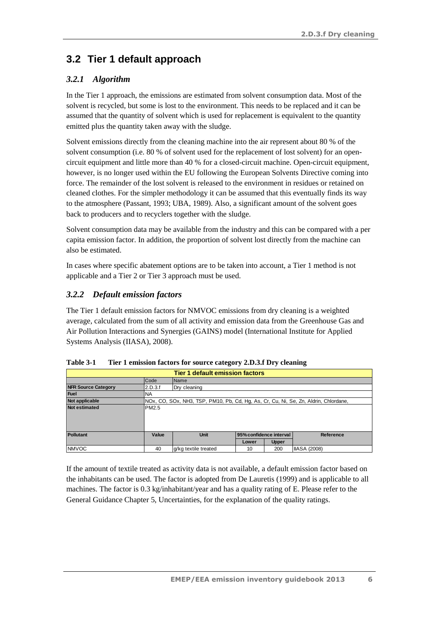# <span id="page-5-0"></span>**3.2 Tier 1 default approach**

#### *3.2.1 Algorithm*

In the Tier 1 approach, the emissions are estimated from solvent consumption data. Most of the solvent is recycled, but some is lost to the environment. This needs to be replaced and it can be assumed that the quantity of solvent which is used for replacement is equivalent to the quantity emitted plus the quantity taken away with the sludge.

Solvent emissions directly from the cleaning machine into the air represent about 80 % of the solvent consumption (i.e. 80 % of solvent used for the replacement of lost solvent) for an opencircuit equipment and little more than 40 % for a closed-circuit machine. Open-circuit equipment, however, is no longer used within the EU following the European Solvents Directive coming into force. The remainder of the lost solvent is released to the environment in residues or retained on cleaned clothes. For the simpler methodology it can be assumed that this eventually finds its way to the atmosphere (Passant, 1993; UBA, 1989). Also, a significant amount of the solvent goes back to producers and to recyclers together with the sludge.

Solvent consumption data may be available from the industry and this can be compared with a per capita emission factor. In addition, the proportion of solvent lost directly from the machine can also be estimated.

In cases where specific abatement options are to be taken into account, a Tier 1 method is not applicable and a Tier 2 or Tier 3 approach must be used.

#### <span id="page-5-1"></span>*3.2.2 Default emission factors*

The Tier 1 default emission factors for NMVOC emissions from dry cleaning is a weighted average, calculated from the sum of all activity and emission data from the Greenhouse Gas and Air Pollution Interactions and Synergies (GAINS) model (International Institute for Applied Systems Analysis (IIASA), 2008).

| <b>Tier 1 default emission factors</b> |                                                                                      |                      |                                             |              |                     |
|----------------------------------------|--------------------------------------------------------------------------------------|----------------------|---------------------------------------------|--------------|---------------------|
|                                        | Code<br>Name                                                                         |                      |                                             |              |                     |
| <b>NFR Source Category</b>             | 2.D.3.f<br>Dry cleaning                                                              |                      |                                             |              |                     |
| <b>Fuel</b>                            | <b>NA</b>                                                                            |                      |                                             |              |                     |
| Not applicable                         | NOx, CO, SOx, NH3, TSP, PM10, Pb, Cd, Hg, As, Cr, Cu, Ni, Se, Zn, Aldrin, Chlordane, |                      |                                             |              |                     |
| <b>Not estimated</b>                   | PM2.5                                                                                |                      |                                             |              |                     |
|                                        |                                                                                      |                      |                                             |              |                     |
|                                        |                                                                                      |                      |                                             |              |                     |
|                                        |                                                                                      |                      |                                             |              |                     |
| <b>Pollutant</b>                       | Value                                                                                | <b>Unit</b>          | 95% confidence interval<br><b>Reference</b> |              |                     |
|                                        |                                                                                      |                      | Lower                                       | <b>Upper</b> |                     |
| <b>NMVOC</b>                           | 40                                                                                   | g/kg textile treated | 10                                          | 200          | <b>IIASA (2008)</b> |

|  | Table 3-1 | Tier 1 emission factors for source category 2.D.3.f Dry cleaning |
|--|-----------|------------------------------------------------------------------|
|--|-----------|------------------------------------------------------------------|

If the amount of textile treated as activity data is not available, a default emission factor based on the inhabitants can be used. The factor is adopted from De Lauretis (1999) and is applicable to all machines. The factor is 0.3 kg/inhabitant/year and has a quality rating of E. Please refer to the General Guidance Chapter 5, Uncertainties, for the explanation of the quality ratings.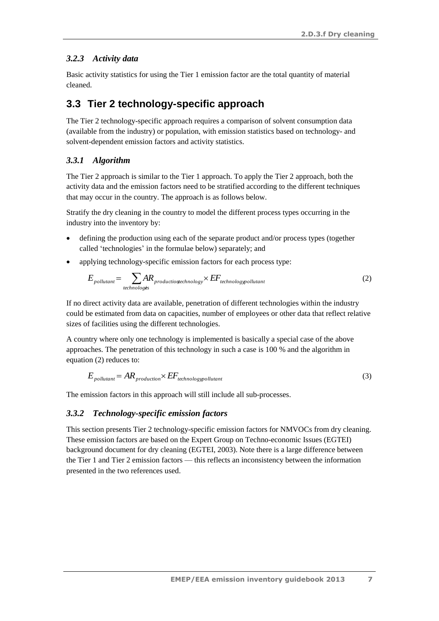#### *3.2.3 Activity data*

Basic activity statistics for using the Tier 1 emission factor are the total quantity of material cleaned.

#### <span id="page-6-0"></span>**3.3 Tier 2 technology-specific approach**

The Tier 2 technology-specific approach requires a comparison of solvent consumption data (available from the industry) or population, with emission statistics based on technology- and solvent-dependent emission factors and activity statistics.

#### *3.3.1 Algorithm*

The Tier 2 approach is similar to the Tier 1 approach. To apply the Tier 2 approach, both the activity data and the emission factors need to be stratified according to the different techniques that may occur in the country. The approach is as follows below.

Stratify the dry cleaning in the country to model the different process types occurring in the industry into the inventory by:

- defining the production using each of the separate product and/or process types (together called 'technologies' in the formulae below) separately; and
- applying technology-specific emission factors for each process type:

$$
E_{\text{pollutant}} = \sum_{\text{technologies}} AR_{\text{production} \text{rechnology}} \times EF_{\text{technology} \text{ollutant}} \tag{2}
$$

If no direct activity data are available, penetration of different technologies within the industry could be estimated from data on capacities, number of employees or other data that reflect relative sizes of facilities using the different technologies.

A country where only one technology is implemented is basically a special case of the above approaches. The penetration of this technology in such a case is 100 % and the algorithm in equation (2) reduces to:

$$
E_{\text{pollutant}} = AR_{\text{production}} \times EF_{\text{technology} \text{pollutant}} \tag{3}
$$

The emission factors in this approach will still include all sub-processes.

#### *3.3.2 Technology-specific emission factors*

This section presents Tier 2 technology-specific emission factors for NMVOCs from dry cleaning. These emission factors are based on the Expert Group on Techno-economic Issues (EGTEI) background document for dry cleaning (EGTEI, 2003). Note there is a large difference between the Tier 1 and Tier 2 emission factors — this reflects an inconsistency between the information presented in the two references used.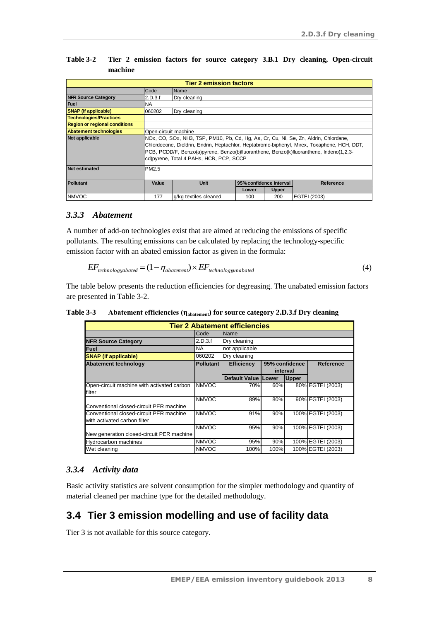| <b>Tier 2 emission factors</b>       |                                                                                             |                       |       |              |              |  |
|--------------------------------------|---------------------------------------------------------------------------------------------|-----------------------|-------|--------------|--------------|--|
|                                      | Code<br>Name                                                                                |                       |       |              |              |  |
| <b>NFR Source Category</b>           | 2.D.3.f<br>Dry cleaning                                                                     |                       |       |              |              |  |
| <b>Fuel</b>                          | <b>NA</b>                                                                                   |                       |       |              |              |  |
| <b>SNAP</b> (if applicable)          | 060202                                                                                      | Dry cleaning          |       |              |              |  |
| <b>Technologies/Practices</b>        |                                                                                             |                       |       |              |              |  |
| <b>Region or regional conditions</b> |                                                                                             |                       |       |              |              |  |
| <b>Abatement technologies</b>        |                                                                                             | Open-circuit machine  |       |              |              |  |
| Not applicable                       | NOx, CO, SOx, NH3, TSP, PM10, Pb, Cd, Hg, As, Cr, Cu, Ni, Se, Zn, Aldrin, Chlordane,        |                       |       |              |              |  |
|                                      | Chlordecone, Dieldrin, Endrin, Heptachlor, Heptabromo-biphenyl, Mirex, Toxaphene, HCH, DDT, |                       |       |              |              |  |
|                                      | PCB, PCDD/F, Benzo(a)pyrene, Benzo(b)fluoranthene, Benzo(k)fluoranthene, Indeno(1,2,3-      |                       |       |              |              |  |
|                                      | cd) pyrene, Total 4 PAHs, HCB, PCP, SCCP                                                    |                       |       |              |              |  |
| <b>Not estimated</b>                 | PM2.5                                                                                       |                       |       |              |              |  |
|                                      |                                                                                             |                       |       |              |              |  |
| <b>Pollutant</b>                     | Value<br><b>Unit</b><br>95% confidence interval<br><b>Reference</b>                         |                       |       |              |              |  |
|                                      |                                                                                             |                       | Lower | <b>Upper</b> |              |  |
| <b>NMVOC</b>                         | 177                                                                                         | g/kg textiles cleaned | 100   | 200          | EGTEI (2003) |  |

<span id="page-7-1"></span>**Table 3-2 Tier 2 emission factors for source category 3.B.1 Dry cleaning, Open-circuit machine**

#### *3.3.3 Abatement*

A number of add-on technologies exist that are aimed at reducing the emissions of specific pollutants. The resulting emissions can be calculated by replacing the technology-specific emission factor with an abated emission factor as given in the formula:

$$
EF_{technologyabated} = (1 - \eta_{abatement}) \times EF_{technologyanabated}
$$
\n
$$
\tag{4}
$$

The table below presents the reduction efficiencies for degreasing. The unabated emission factors are presented in [Table 3-2.](#page-7-1)

| <b>Tier 2 Abatement efficiencies</b>                                    |                  |                            |      |                            |                   |
|-------------------------------------------------------------------------|------------------|----------------------------|------|----------------------------|-------------------|
|                                                                         | Code             | <b>Name</b>                |      |                            |                   |
| <b>NFR Source Category</b>                                              | 2.D.3.f          | Dry cleaning               |      |                            |                   |
| Fuel                                                                    | <b>NA</b>        | not applicable             |      |                            |                   |
| <b>SNAP</b> (if applicable)                                             | 060202           | Dry cleaning               |      |                            |                   |
| <b>Abatement technology</b>                                             | <b>Pollutant</b> | <b>Efficiency</b>          |      | 95% confidence<br>interval | <b>Reference</b>  |
|                                                                         |                  | <b>Default Value Lower</b> |      | <b>Upper</b>               |                   |
| Open-circuit machine with activated carbon<br>filter                    | <b>NMVOC</b>     | 70%                        | 60%  |                            | 80% EGTEI (2003)  |
| Conventional closed-circuit PER machine                                 | <b>NMVOC</b>     | 89%                        | 80%  |                            | 90% EGTEI (2003)  |
| Conventional closed-circuit PER machine<br>with activated carbon filter | <b>NMVOC</b>     | 91%                        | 90%  |                            | 100% EGTEI (2003) |
| New generation closed-circuit PER machine                               | <b>NMVOC</b>     | 95%                        | 90%  |                            | 100% EGTEI (2003) |
| <b>Hydrocarbon machines</b>                                             | <b>NMVOC</b>     | 95%                        | 90%  |                            | 100% EGTEI (2003) |
| Wet cleaning                                                            | <b>NMVOC</b>     | 100%                       | 100% |                            | 100% EGTEI (2003) |

**Table 3-3 Abatement efficiencies (ηabatement) for source category 2.D.3.f Dry cleaning**

#### *3.3.4 Activity data*

Basic activity statistics are solvent consumption for the simpler methodology and quantity of material cleaned per machine type for the detailed methodology.

### <span id="page-7-0"></span>**3.4 Tier 3 emission modelling and use of facility data**

Tier 3 is not available for this source category.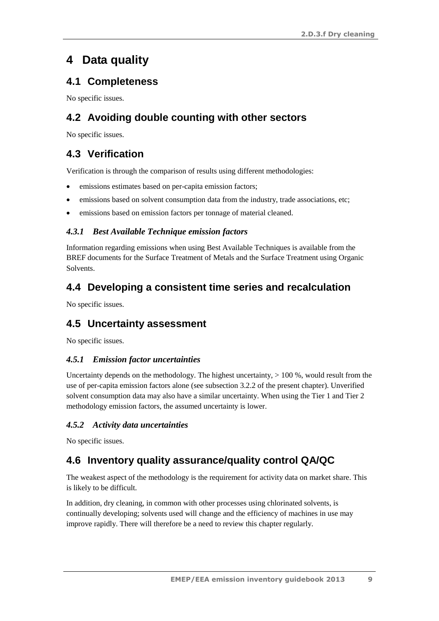# <span id="page-8-0"></span>**4 Data quality**

## <span id="page-8-1"></span>**4.1 Completeness**

No specific issues.

## <span id="page-8-2"></span>**4.2 Avoiding double counting with other sectors**

No specific issues.

### <span id="page-8-3"></span>**4.3 Verification**

Verification is through the comparison of results using different methodologies:

- emissions estimates based on per-capita emission factors;
- emissions based on solvent consumption data from the industry, trade associations, etc;
- emissions based on emission factors per tonnage of material cleaned.

#### *4.3.1 Best Available Technique emission factors*

Information regarding emissions when using Best Available Techniques is available from the BREF documents for the Surface Treatment of Metals and the Surface Treatment using Organic Solvents.

### <span id="page-8-4"></span>**4.4 Developing a consistent time series and recalculation**

No specific issues.

### <span id="page-8-5"></span>**4.5 Uncertainty assessment**

No specific issues.

#### *4.5.1 Emission factor uncertainties*

Uncertainty depends on the methodology. The highest uncertainty,  $> 100\%$ , would result from the use of per-capita emission factors alone (see subsectio[n 3.2.2](#page-5-1) of the present chapter). Unverified solvent consumption data may also have a similar uncertainty. When using the Tier 1 and Tier 2 methodology emission factors, the assumed uncertainty is lower.

#### *4.5.2 Activity data uncertainties*

No specific issues.

## <span id="page-8-6"></span>**4.6 Inventory quality assurance/quality control QA/QC**

The weakest aspect of the methodology is the requirement for activity data on market share. This is likely to be difficult.

In addition, dry cleaning, in common with other processes using chlorinated solvents, is continually developing; solvents used will change and the efficiency of machines in use may improve rapidly. There will therefore be a need to review this chapter regularly.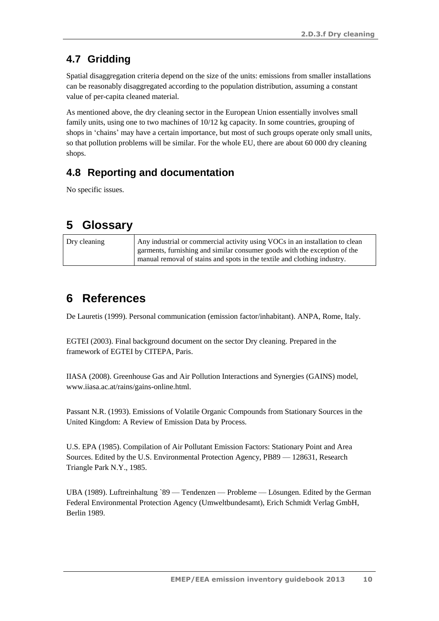# <span id="page-9-0"></span>**4.7 Gridding**

Spatial disaggregation criteria depend on the size of the units: emissions from smaller installations can be reasonably disaggregated according to the population distribution, assuming a constant value of per-capita cleaned material.

As mentioned above, the dry cleaning sector in the European Union essentially involves small family units, using one to two machines of 10/12 kg capacity. In some countries, grouping of shops in 'chains' may have a certain importance, but most of such groups operate only small units, so that pollution problems will be similar. For the whole EU, there are about 60 000 dry cleaning shops.

# <span id="page-9-1"></span>**4.8 Reporting and documentation**

No specific issues.

# <span id="page-9-2"></span>**5 Glossary**

| Dry cleaning | Any industrial or commercial activity using VOCs in an installation to clean |
|--------------|------------------------------------------------------------------------------|
|              | garments, furnishing and similar consumer goods with the exception of the    |
|              | manual removal of stains and spots in the textile and clothing industry.     |

# <span id="page-9-3"></span>**6 References**

De Lauretis (1999). Personal communication (emission factor/inhabitant). ANPA, Rome, Italy.

EGTEI (2003). Final background document on the sector Dry cleaning. Prepared in the framework of EGTEI by CITEPA, Paris.

IIASA (2008). Greenhouse Gas and Air Pollution Interactions and Synergies (GAINS) model, [www.iiasa.ac.at/rains/gains-online.html.](http://www.iiasa.ac.at/rains/gains-online.html)

Passant N.R. (1993). Emissions of Volatile Organic Compounds from Stationary Sources in the United Kingdom: A Review of Emission Data by Process.

U.S. EPA (1985). Compilation of Air Pollutant Emission Factors: Stationary Point and Area Sources. Edited by the U.S. Environmental Protection Agency, PB89 — 128631, Research Triangle Park N.Y., 1985.

UBA (1989). Luftreinhaltung `89 — Tendenzen — Probleme — Lösungen. Edited by the German Federal Environmental Protection Agency (Umweltbundesamt), Erich Schmidt Verlag GmbH, Berlin 1989.